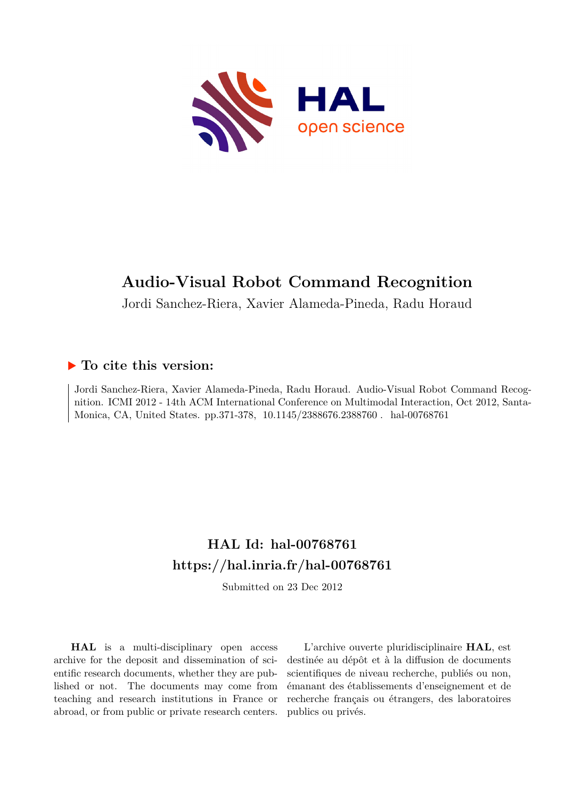

# **Audio-Visual Robot Command Recognition**

Jordi Sanchez-Riera, Xavier Alameda-Pineda, Radu Horaud

## **To cite this version:**

Jordi Sanchez-Riera, Xavier Alameda-Pineda, Radu Horaud. Audio-Visual Robot Command Recognition. ICMI 2012 - 14th ACM International Conference on Multimodal Interaction, Oct 2012, Santa-Monica, CA, United States. pp.371-378, 10.1145/2388676.2388760. hal-00768761

## **HAL Id: hal-00768761 <https://hal.inria.fr/hal-00768761>**

Submitted on 23 Dec 2012

**HAL** is a multi-disciplinary open access archive for the deposit and dissemination of scientific research documents, whether they are published or not. The documents may come from teaching and research institutions in France or abroad, or from public or private research centers.

L'archive ouverte pluridisciplinaire **HAL**, est destinée au dépôt et à la diffusion de documents scientifiques de niveau recherche, publiés ou non, émanant des établissements d'enseignement et de recherche français ou étrangers, des laboratoires publics ou privés.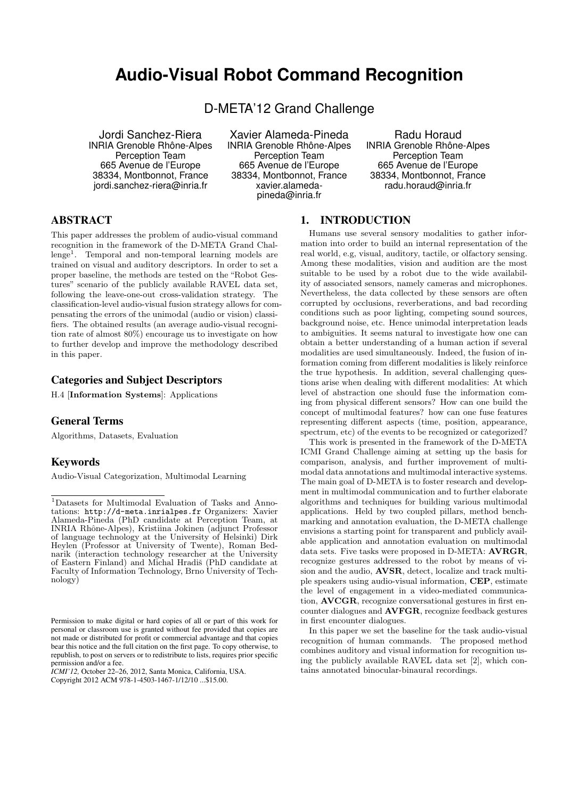## **Audio-Visual Robot Command Recognition**

D-META'12 Grand Challenge

Jordi Sanchez-Riera INRIA Grenoble Rhône-Alpes Perception Team 665 Avenue de l'Europe 38334, Montbonnot, France jordi.sanchez-riera@inria.fr

Xavier Alameda-Pineda INRIA Grenoble Rhône-Alpes Perception Team 665 Avenue de l'Europe 38334, Montbonnot, France xavier.alamedapineda@inria.fr

Radu Horaud INRIA Grenoble Rhône-Alpes Perception Team 665 Avenue de l'Europe 38334, Montbonnot, France radu.horaud@inria.fr

### ABSTRACT

This paper addresses the problem of audio-visual command recognition in the framework of the D-META Grand Challenge<sup>1</sup> . Temporal and non-temporal learning models are trained on visual and auditory descriptors. In order to set a proper baseline, the methods are tested on the "Robot Gestures" scenario of the publicly available RAVEL data set, following the leave-one-out cross-validation strategy. The classification-level audio-visual fusion strategy allows for compensating the errors of the unimodal (audio or vision) classifiers. The obtained results (an average audio-visual recognition rate of almost 80%) encourage us to investigate on how to further develop and improve the methodology described in this paper.

## Categories and Subject Descriptors

H.4 [Information Systems]: Applications

## General Terms

Algorithms, Datasets, Evaluation

#### Keywords

Audio-Visual Categorization, Multimodal Learning

*ICMI'12,* October 22–26, 2012, Santa Monica, California, USA. Copyright 2012 ACM 978-1-4503-1467-1/12/10 ...\$15.00.

#### 1. INTRODUCTION

Humans use several sensory modalities to gather information into order to build an internal representation of the real world, e.g, visual, auditory, tactile, or olfactory sensing. Among these modalities, vision and audition are the most suitable to be used by a robot due to the wide availability of associated sensors, namely cameras and microphones. Nevertheless, the data collected by these sensors are often corrupted by occlusions, reverberations, and bad recording conditions such as poor lighting, competing sound sources, background noise, etc. Hence unimodal interpretation leads to ambiguities. It seems natural to investigate how one can obtain a better understanding of a human action if several modalities are used simultaneously. Indeed, the fusion of information coming from different modalities is likely reinforce the true hypothesis. In addition, several challenging questions arise when dealing with different modalities: At which level of abstraction one should fuse the information coming from physical different sensors? How can one build the concept of multimodal features? how can one fuse features representing different aspects (time, position, appearance, spectrum, etc) of the events to be recognized or categorized?

This work is presented in the framework of the D-META ICMI Grand Challenge aiming at setting up the basis for comparison, analysis, and further improvement of multimodal data annotations and multimodal interactive systems. The main goal of D-META is to foster research and development in multimodal communication and to further elaborate algorithms and techniques for building various multimodal applications. Held by two coupled pillars, method benchmarking and annotation evaluation, the D-META challenge envisions a starting point for transparent and publicly available application and annotation evaluation on multimodal data sets. Five tasks were proposed in D-META: AVRGR, recognize gestures addressed to the robot by means of vision and the audio, AVSR, detect, localize and track multiple speakers using audio-visual information, CEP, estimate the level of engagement in a video-mediated communication, AVCGR, recognize conversational gestures in first encounter dialogues and AVFGR, recognize feedback gestures in first encounter dialogues.

In this paper we set the baseline for the task audio-visual recognition of human commands. The proposed method combines auditory and visual information for recognition using the publicly available RAVEL data set [2], which contains annotated binocular-binaural recordings.

<sup>1</sup>Datasets for Multimodal Evaluation of Tasks and Annotations: http://d-meta.inrialpes.fr Organizers: Xavier Alameda-Pineda (PhD candidate at Perception Team, at INRIA Rhˆone-Alpes), Kristiina Jokinen (adjunct Professor of language technology at the University of Helsinki) Dirk Heylen (Professor at University of Twente), Roman Bednarik (interaction technology researcher at the University of Eastern Finland) and Michal Hradiš (PhD candidate at Faculty of Information Technology, Brno University of Technology)

Permission to make digital or hard copies of all or part of this work for personal or classroom use is granted without fee provided that copies are not made or distributed for profit or commercial advantage and that copies bear this notice and the full citation on the first page. To copy otherwise, to republish, to post on servers or to redistribute to lists, requires prior specific permission and/or a fee.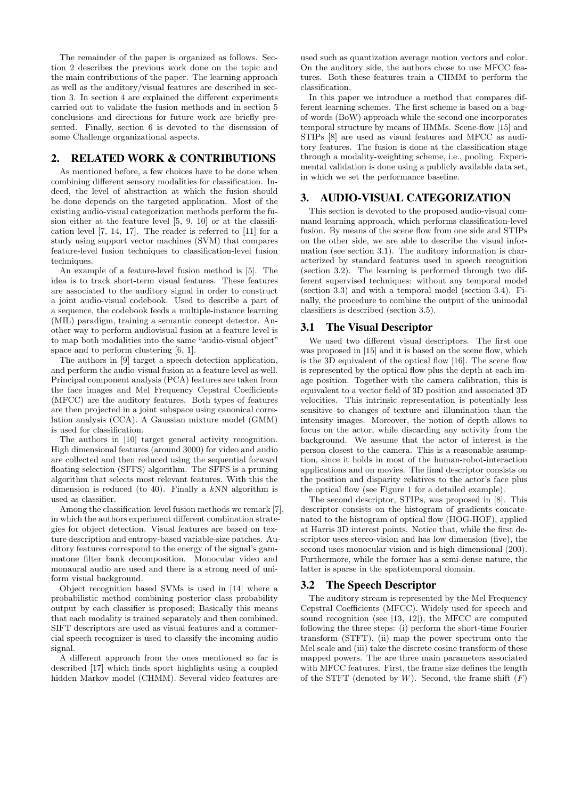The remainder of the paper is organized as follows. Section 2 describes the previous work done on the topic and the main contributions of the paper. The learning approach as well as the auditory/visual features are described in section 3. In section 4 are explained the different experiments carried out to validate the fusion methods and in section 5 conclusions and directions for future work are briefly presented. Finally, section 6 is devoted to the discussion of some Challenge organizational aspects.

## 2. RELATED WORK & CONTRIBUTIONS

As mentioned before, a few choices have to be done when combining different sensory modalities for classification. Indeed, the level of abstraction at which the fusion should be done depends on the targeted application. Most of the existing audio-visual categorization methods perform the fusion either at the feature level [5, 9, 10] or at the classification level [7, 14, 17]. The reader is referred to [11] for a study using support vector machines (SVM) that compares feature-level fusion techniques to classification-level fusion techniques.

An example of a feature-level fusion method is [5]. The idea is to track short-term visual features. These features are associated to the auditory signal in order to construct a joint audio-visual codebook. Used to describe a part of a sequence, the codebook feeds a multiple-instance learning (MIL) paradigm, training a semantic concept detector. Another way to perform audiovisual fusion at a feature level is to map both modalities into the same "audio-visual object" space and to perform clustering [6, 1].

The authors in [9] target a speech detection application, and perform the audio-visual fusion at a feature level as well. Principal component analysis (PCA) features are taken from the face images and Mel Frequency Cepstral Coefficients (MFCC) are the auditory features. Both types of features are then projected in a joint subspace using canonical correlation analysis (CCA). A Gaussian mixture model (GMM) is used for classification.

The authors in [10] target general activity recognition. High dimensional features (around 3000) for video and audio are collected and then reduced using the sequential forward floating selection (SFFS) algorithm. The SFFS is a pruning algorithm that selects most relevant features. With this the dimension is reduced (to 40). Finally a  $kNN$  algorithm is used as classifier.

Among the classification-level fusion methods we remark [7], in which the authors experiment different combination strategies for object detection. Visual features are based on texture description and entropy-based variable-size patches. Auditory features correspond to the energy of the signal's gammatone filter bank decomposition. Monocular video and monaural audio are used and there is a strong need of uniform visual background.

Object recognition based SVMs is used in [14] where a probabilistic method combining posterior class probability output by each classifier is proposed; Basically this means that each modality is trained separately and then combined. SIFT descriptors are used as visual features and a commercial speech recognizer is used to classify the incoming audio signal.

A different approach from the ones mentioned so far is described [17] which finds sport highlights using a coupled hidden Markov model (CHMM). Several video features are

used such as quantization average motion vectors and color. On the auditory side, the authors chose to use MFCC features. Both these features train a CHMM to perform the classification.

In this paper we introduce a method that compares different learning schemes. The first scheme is based on a bagof-words (BoW) approach while the second one incorporates temporal structure by means of HMMs. Scene-flow [15] and STIPs [8] are used as visual features and MFCC as auditory features. The fusion is done at the classification stage through a modality-weighting scheme, i.e., pooling. Experimental validation is done using a publicly available data set, in which we set the performance baseline.

## 3. AUDIO-VISUAL CATEGORIZATION

This section is devoted to the proposed audio-visual command learning approach, which performs classification-level fusion. By means of the scene flow from one side and STIPs on the other side, we are able to describe the visual information (see section 3.1). The auditory information is characterized by standard features used in speech recognition (section 3.2). The learning is performed through two different supervised techniques: without any temporal model (section 3.3) and with a temporal model (section 3.4). Finally, the procedure to combine the output of the unimodal classifiers is described (section 3.5).

## 3.1 The Visual Descriptor

We used two different visual descriptors. The first one was proposed in [15] and it is based on the scene flow, which is the 3D equivalent of the optical flow [16]. The scene flow is represented by the optical flow plus the depth at each image position. Together with the camera calibration, this is equivalent to a vector field of 3D position and associated 3D velocities. This intrinsic representation is potentially less sensitive to changes of texture and illumination than the intensity images. Moreover, the notion of depth allows to focus on the actor, while discarding any activity from the background. We assume that the actor of interest is the person closest to the camera. This is a reasonable assumption, since it holds in most of the human-robot-interaction applications and on movies. The final descriptor consists on the position and disparity relatives to the actor's face plus the optical flow (see Figure 1 for a detailed example).

The second descriptor, STIPs, was proposed in [8]. This descriptor consists on the histogram of gradients concatenated to the histogram of optical flow (HOG-HOF), applied at Harris 3D interest points. Notice that, while the first descriptor uses stereo-vision and has low dimension (five), the second uses monocular vision and is high dimensional (200). Furthermore, while the former has a semi-dense nature, the latter is sparse in the spatiotemporal domain.

## 3.2 The Speech Descriptor

The auditory stream is represented by the Mel Frequency Cepstral Coefficients (MFCC). Widely used for speech and sound recognition (see [13, 12]), the MFCC are computed following the three steps: (i) perform the short-time Fourier transform (STFT), (ii) map the power spectrum onto the Mel scale and (iii) take the discrete cosine transform of these mapped powers. The are three main parameters associated with MFCC features. First, the frame size defines the length of the STFT (denoted by  $W$ ). Second, the frame shift  $(F)$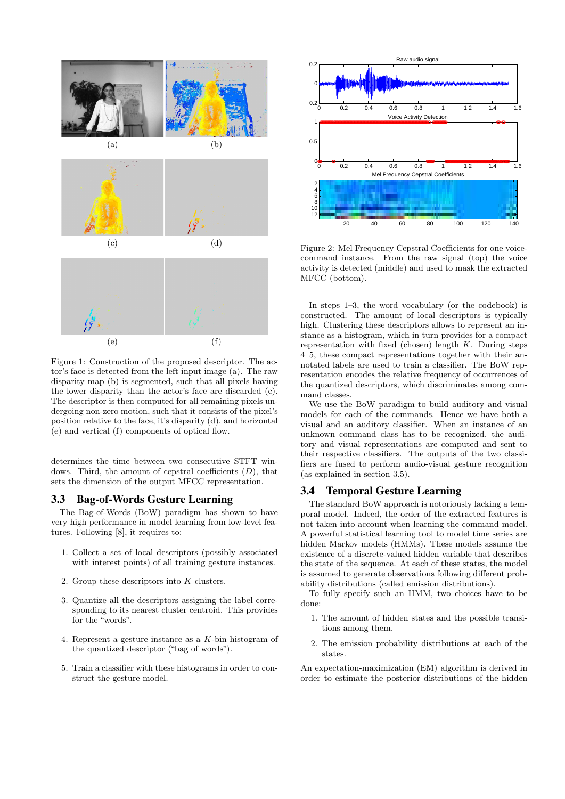

Figure 1: Construction of the proposed descriptor. The actor's face is detected from the left input image (a). The raw disparity map (b) is segmented, such that all pixels having the lower disparity than the actor's face are discarded (c). The descriptor is then computed for all remaining pixels undergoing non-zero motion, such that it consists of the pixel's position relative to the face, it's disparity (d), and horizontal (e) and vertical (f) components of optical flow.

determines the time between two consecutive STFT windows. Third, the amount of cepstral coefficients  $(D)$ , that sets the dimension of the output MFCC representation.

#### 3.3 Bag-of-Words Gesture Learning

The Bag-of-Words (BoW) paradigm has shown to have very high performance in model learning from low-level features. Following [8], it requires to:

- 1. Collect a set of local descriptors (possibly associated with interest points) of all training gesture instances.
- 2. Group these descriptors into  $K$  clusters.
- 3. Quantize all the descriptors assigning the label corresponding to its nearest cluster centroid. This provides for the "words".
- 4. Represent a gesture instance as a K-bin histogram of the quantized descriptor ("bag of words").
- 5. Train a classifier with these histograms in order to construct the gesture model.



Figure 2: Mel Frequency Cepstral Coefficients for one voicecommand instance. From the raw signal (top) the voice activity is detected (middle) and used to mask the extracted MFCC (bottom).

In steps 1–3, the word vocabulary (or the codebook) is constructed. The amount of local descriptors is typically high. Clustering these descriptors allows to represent an instance as a histogram, which in turn provides for a compact representation with fixed (chosen) length  $K$ . During steps 4–5, these compact representations together with their annotated labels are used to train a classifier. The BoW representation encodes the relative frequency of occurrences of the quantized descriptors, which discriminates among command classes.

We use the BoW paradigm to build auditory and visual models for each of the commands. Hence we have both a visual and an auditory classifier. When an instance of an unknown command class has to be recognized, the auditory and visual representations are computed and sent to their respective classifiers. The outputs of the two classifiers are fused to perform audio-visual gesture recognition (as explained in section 3.5).

#### 3.4 Temporal Gesture Learning

The standard BoW approach is notoriously lacking a temporal model. Indeed, the order of the extracted features is not taken into account when learning the command model. A powerful statistical learning tool to model time series are hidden Markov models (HMMs). These models assume the existence of a discrete-valued hidden variable that describes the state of the sequence. At each of these states, the model is assumed to generate observations following different probability distributions (called emission distributions).

To fully specify such an HMM, two choices have to be done:

- 1. The amount of hidden states and the possible transitions among them.
- 2. The emission probability distributions at each of the states.

An expectation-maximization (EM) algorithm is derived in order to estimate the posterior distributions of the hidden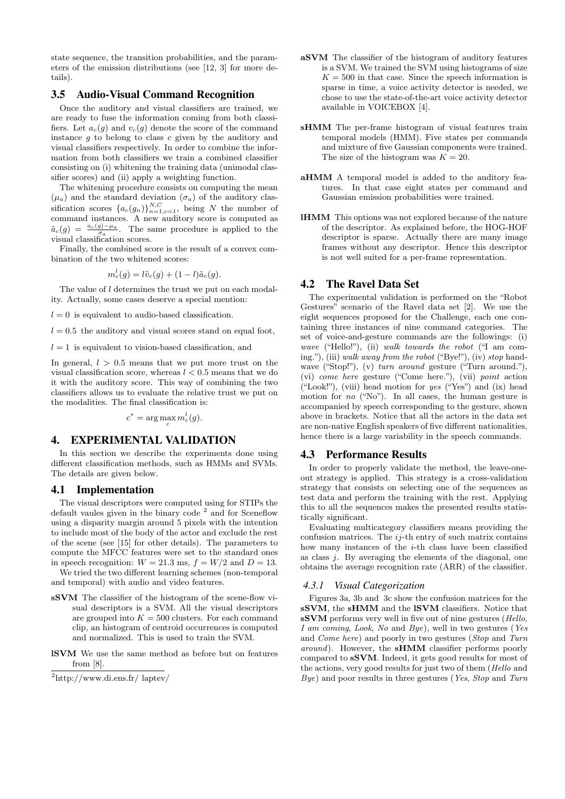state sequence, the transition probabilities, and the parameters of the emission distributions (see [12, 3] for more details).

#### 3.5 Audio-Visual Command Recognition

Once the auditory and visual classifiers are trained, we are ready to fuse the information coming from both classifiers. Let  $a_c(g)$  and  $v_c(g)$  denote the score of the command instance  $g$  to belong to class  $c$  given by the auditory and visual classifiers respectively. In order to combine the information from both classifiers we train a combined classifier consisting on (i) whitening the training data (unimodal classifier scores) and (ii) apply a weighting function.

The whitening procedure consists on computing the mean  $(\mu_a)$  and the standard deviation  $(\sigma_a)$  of the auditory classification scores  ${a_c(g_n)}_{n=1,c=1}^{N,C}$ , being N the number of command instances. A new auditory score is computed as  $\tilde{a}_c(g) = \frac{a_c(g) - \mu_a}{\sigma_a}$ . The same procedure is applied to the visual classification scores.

Finally, the combined score is the result of a convex combination of the two whitened scores:

$$
m_c^l(g) = l\tilde{v}_c(g) + (1-l)\tilde{a}_c(g).
$$

The value of  $l$  determines the trust we put on each modality. Actually, some cases deserve a special mention:

 $l = 0$  is equivalent to audio-based classification.

 $l = 0.5$  the auditory and visual scores stand on equal foot.

 $l = 1$  is equivalent to vision-based classification, and

In general,  $l > 0.5$  means that we put more trust on the visual classification score, whereas  $l < 0.5$  means that we do it with the auditory score. This way of combining the two classifiers allows us to evaluate the relative trust we put on the modalities. The final classification is:

$$
c^* = \arg\max_c m_c^l(g).
$$

#### 4. EXPERIMENTAL VALIDATION

In this section we describe the experiments done using different classification methods, such as HMMs and SVMs. The details are given below.

#### 4.1 Implementation

The visual descriptors were computed using for STIPs the default vaules given in the binary code<sup>2</sup> and for Sceneflow using a disparity margin around 5 pixels with the intention to include most of the body of the actor and exclude the rest of the scene (see [15] for other details). The parameters to compute the MFCC features were set to the standard ones in speech recognition:  $W = 21.3$  ms,  $f = W/2$  and  $D = 13$ .

We tried the two different learning schemes (non-temporal and temporal) with audio and video features.

- sSVM The classifier of the histogram of the scene-flow visual descriptors is a SVM. All the visual descriptors are grouped into  $K = 500$  clusters. For each command clip, an histogram of centroid occurrences is computed and normalized. This is used to train the SVM.
- lSVM We use the same method as before but on features from [8].
- aSVM The classifier of the histogram of auditory features is a SVM. We trained the SVM using histograms of size  $K = 500$  in that case. Since the speech information is sparse in time, a voice activity detector is needed, we chose to use the state-of-the-art voice activity detector available in VOICEBOX [4].
- sHMM The per-frame histogram of visual features train temporal models (HMM). Five states per commands and mixture of five Gaussian components were trained. The size of the histogram was  $K = 20$ .
- aHMM A temporal model is added to the auditory features. In that case eight states per command and Gaussian emission probabilities were trained.
- lHMM This options was not explored because of the nature of the descriptor. As explained before, the HOG-HOF descriptor is sparse. Actually there are many image frames without any descriptor. Hence this descriptor is not well suited for a per-frame representation.

#### 4.2 The Ravel Data Set

The experimental validation is performed on the "Robot Gestures" scenario of the Ravel data set [2]. We use the eight sequences proposed for the Challenge, each one containing three instances of nine command categories. The set of voice-and-gesture commands are the followings: (i) wave ("Hello!"), (ii) walk towards the robot ("I am coming."), (iii) walk away from the robot ("Bye!"), (iv) stop handwave ("Stop!"), (v) turn around gesture ("Turn around."), (vi) come here gesture ("Come here."), (vii) point action ("Look!"), (viii) head motion for yes  $({}^{\omega}Ye^{\omega})$  and (ix) head motion for no ("No"). In all cases, the human gesture is accompanied by speech corresponding to the gesture, shown above in brackets. Notice that all the actors in the data set are non-native English speakers of five different nationalities, hence there is a large variability in the speech commands.

#### 4.3 Performance Results

In order to properly validate the method, the leave-oneout strategy is applied. This strategy is a cross-validation strategy that consists on selecting one of the sequences as test data and perform the training with the rest. Applying this to all the sequences makes the presented results statistically significant.

Evaluating multicategory classifiers means providing the confusion matrices. The  $ij$ -th entry of such matrix contains how many instances of the  $i$ -th class have been classified as class j. By averaging the elements of the diagonal, one obtains the average recognition rate (ARR) of the classifier.

#### *4.3.1 Visual Categorization*

Figures 3a, 3b and 3c show the confusion matrices for the sSVM, the sHMM and the lSVM classifiers. Notice that sSVM performs very well in five out of nine gestures (Hello, I am coming, Look, No and Bye), well in two gestures (Yes and Come here) and poorly in two gestures (Stop and Turn around). However, the sHMM classifier performs poorly compared to sSVM. Indeed, it gets good results for most of the actions, very good results for just two of them (*Hello* and Bye) and poor results in three gestures (Yes, Stop and Turn

 $^{2}$ http://www.di.ens.fr/ laptev/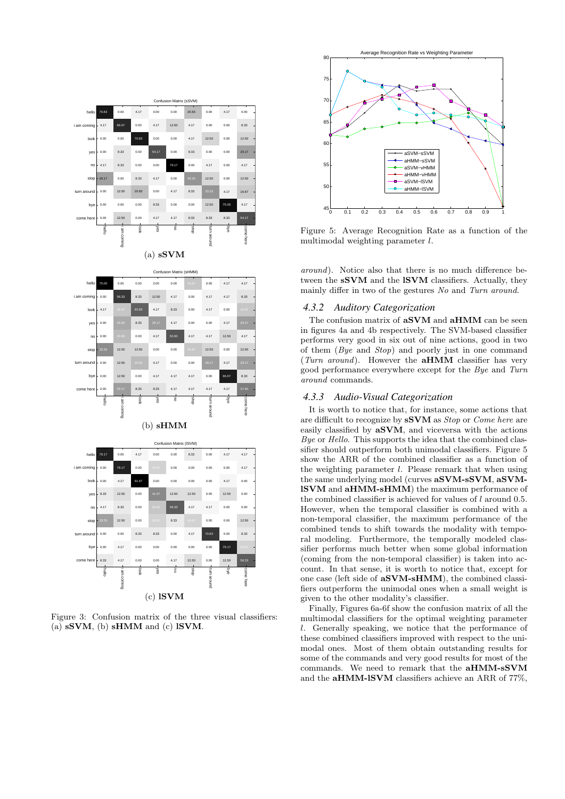

Figure 3: Confusion matrix of the three visual classifiers: (a) sSVM, (b) sHMM and (c) lSVM.



Figure 5: Average Recognition Rate as a function of the multimodal weighting parameter l.

around). Notice also that there is no much difference between the sSVM and the lSVM classifiers. Actually, they mainly differ in two of the gestures No and Turn around.

#### *4.3.2 Auditory Categorization*

The confusion matrix of **aSVM** and **aHMM** can be seen in figures 4a and 4b respectively. The SVM-based classifier performs very good in six out of nine actions, good in two of them (Bye and Stop) and poorly just in one command  $(Turn$  around). However the **aHMM** classifier has very good performance everywhere except for the Bye and Turn around commands.

#### *4.3.3 Audio-Visual Categorization*

It is worth to notice that, for instance, some actions that are difficult to recognize by sSVM as Stop or Come here are easily classified by aSVM, and viceversa with the actions Bye or Hello. This supports the idea that the combined classifier should outperform both unimodal classifiers. Figure 5 show the ARR of the combined classifier as a function of the weighting parameter l. Please remark that when using the same underlying model (curves aSVM-sSVM, aSVMlSVM and aHMM-sHMM) the maximum performance of the combined classifier is achieved for values of l around 0.5. However, when the temporal classifier is combined with a non-temporal classifier, the maximum performance of the combined tends to shift towards the modality with temporal modeling. Furthermore, the temporally modeled classifier performs much better when some global information (coming from the non-temporal classifier) is taken into account. In that sense, it is worth to notice that, except for one case (left side of aSVM-sHMM), the combined classifiers outperform the unimodal ones when a small weight is given to the other modality's classifier.

Finally, Figures 6a-6f show the confusion matrix of all the multimodal classifiers for the optimal weighting parameter l. Generally speaking, we notice that the performance of these combined classifiers improved with respect to the unimodal ones. Most of them obtain outstanding results for some of the commands and very good results for most of the commands. We need to remark that the aHMM-sSVM and the aHMM-lSVM classifiers achieve an ARR of 77%,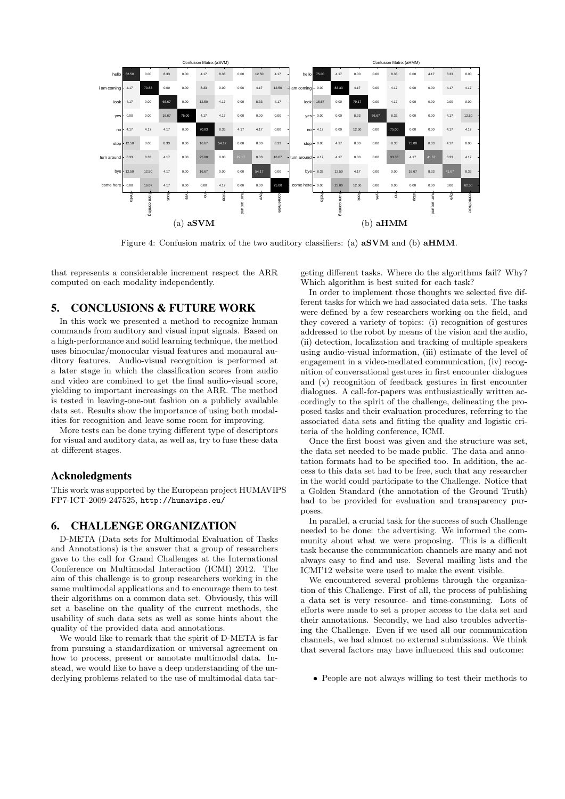

Figure 4: Confusion matrix of the two auditory classifiers: (a) aSVM and (b) aHMM.

that represents a considerable increment respect the ARR computed on each modality independently.

#### 5. CONCLUSIONS & FUTURE WORK

In this work we presented a method to recognize human commands from auditory and visual input signals. Based on a high-performance and solid learning technique, the method uses binocular/monocular visual features and monaural auditory features. Audio-visual recognition is performed at a later stage in which the classification scores from audio and video are combined to get the final audio-visual score, yielding to important increasings on the ARR. The method is tested in leaving-one-out fashion on a publicly available data set. Results show the importance of using both modalities for recognition and leave some room for improving.

More tests can be done trying different type of descriptors for visual and auditory data, as well as, try to fuse these data at different stages.

#### Acknoledgments

This work was supported by the European project HUMAVIPS FP7-ICT-2009-247525, http://humavips.eu/

### 6. CHALLENGE ORGANIZATION

D-META (Data sets for Multimodal Evaluation of Tasks and Annotations) is the answer that a group of researchers gave to the call for Grand Challenges at the International Conference on Multimodal Interaction (ICMI) 2012. The aim of this challenge is to group researchers working in the same multimodal applications and to encourage them to test their algorithms on a common data set. Obviously, this will set a baseline on the quality of the current methods, the usability of such data sets as well as some hints about the quality of the provided data and annotations.

We would like to remark that the spirit of D-META is far from pursuing a standardization or universal agreement on how to process, present or annotate multimodal data. Instead, we would like to have a deep understanding of the underlying problems related to the use of multimodal data targeting different tasks. Where do the algorithms fail? Why? Which algorithm is best suited for each task?

In order to implement those thoughts we selected five different tasks for which we had associated data sets. The tasks were defined by a few researchers working on the field, and they covered a variety of topics: (i) recognition of gestures addressed to the robot by means of the vision and the audio, (ii) detection, localization and tracking of multiple speakers using audio-visual information, (iii) estimate of the level of engagement in a video-mediated communication, (iv) recognition of conversational gestures in first encounter dialogues and (v) recognition of feedback gestures in first encounter dialogues. A call-for-papers was enthusiastically written accordingly to the spirit of the challenge, delineating the proposed tasks and their evaluation procedures, referring to the associated data sets and fitting the quality and logistic criteria of the holding conference, ICMI.

Once the first boost was given and the structure was set, the data set needed to be made public. The data and annotation formats had to be specified too. In addition, the access to this data set had to be free, such that any researcher in the world could participate to the Challenge. Notice that a Golden Standard (the annotation of the Ground Truth) had to be provided for evaluation and transparency purposes.

In parallel, a crucial task for the success of such Challenge needed to be done: the advertising. We informed the community about what we were proposing. This is a difficult task because the communication channels are many and not always easy to find and use. Several mailing lists and the ICMI'12 website were used to make the event visible.

We encountered several problems through the organization of this Challenge. First of all, the process of publishing a data set is very resource- and time-consuming. Lots of efforts were made to set a proper access to the data set and their annotations. Secondly, we had also troubles advertising the Challenge. Even if we used all our communication channels, we had almost no external submissions. We think that several factors may have influenced this sad outcome:

• People are not always willing to test their methods to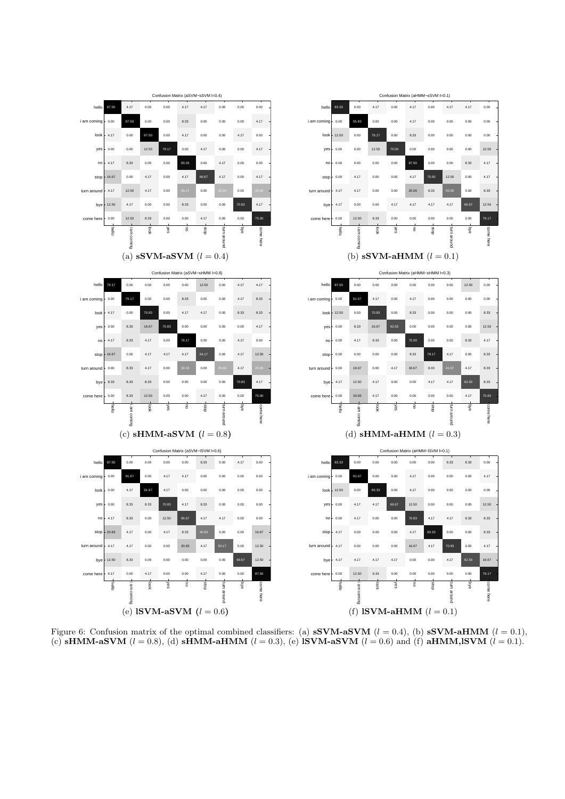

Figure 6: Confusion matrix of the optimal combined classifiers: (a) **sSVM-aSVM** ( $l = 0.4$ ), (b) **sSVM-aHMM** ( $l = 0.1$ ), (c) **sHMM-aSVM**  $(l = 0.8)$ , (d) **sHMM-aHMM**  $(l = 0.3)$ , (e) **ISVM-aSVM**  $(l = 0.6)$  and (f) **aHMM,ISVM**  $(l = 0.1)$ .